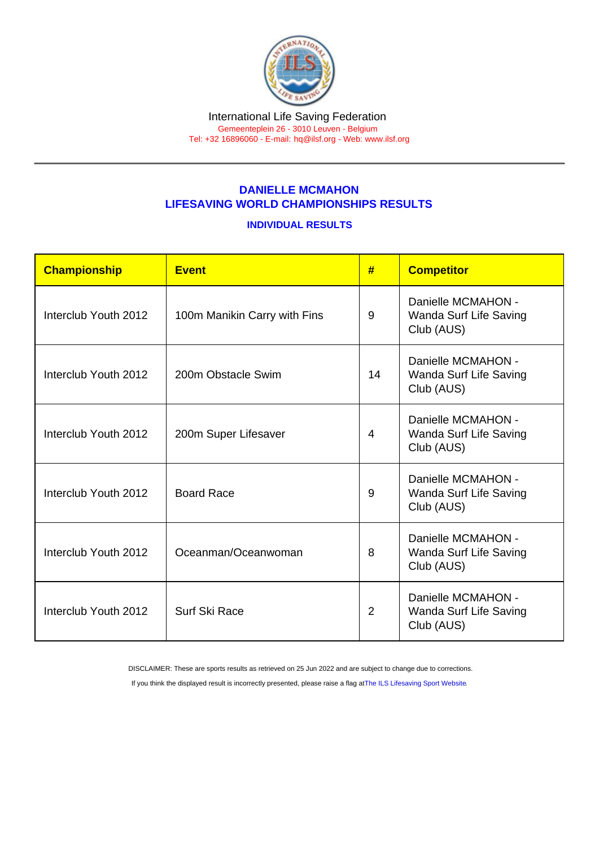## DANIELLE MCMAHON LIFESAVING WORLD CHAMPIONSHIPS RESULTS

## INDIVIDUAL RESULTS

| Championship         | Event                        | #              | <b>Competitor</b>                                          |
|----------------------|------------------------------|----------------|------------------------------------------------------------|
| Interclub Youth 2012 | 100m Manikin Carry with Fins | 9              | Danielle MCMAHON -<br>Wanda Surf Life Saving<br>Club (AUS) |
| Interclub Youth 2012 | 200m Obstacle Swim           | 14             | Danielle MCMAHON -<br>Wanda Surf Life Saving<br>Club (AUS) |
| Interclub Youth 2012 | 200m Super Lifesaver         | $\overline{4}$ | Danielle MCMAHON -<br>Wanda Surf Life Saving<br>Club (AUS) |
| Interclub Youth 2012 | <b>Board Race</b>            | 9              | Danielle MCMAHON -<br>Wanda Surf Life Saving<br>Club (AUS) |
| Interclub Youth 2012 | Oceanman/Oceanwoman          | 8              | Danielle MCMAHON -<br>Wanda Surf Life Saving<br>Club (AUS) |
| Interclub Youth 2012 | Surf Ski Race                | $\overline{2}$ | Danielle MCMAHON -<br>Wanda Surf Life Saving<br>Club (AUS) |

DISCLAIMER: These are sports results as retrieved on 25 Jun 2022 and are subject to change due to corrections.

If you think the displayed result is incorrectly presented, please raise a flag at [The ILS Lifesaving Sport Website.](https://sport.ilsf.org)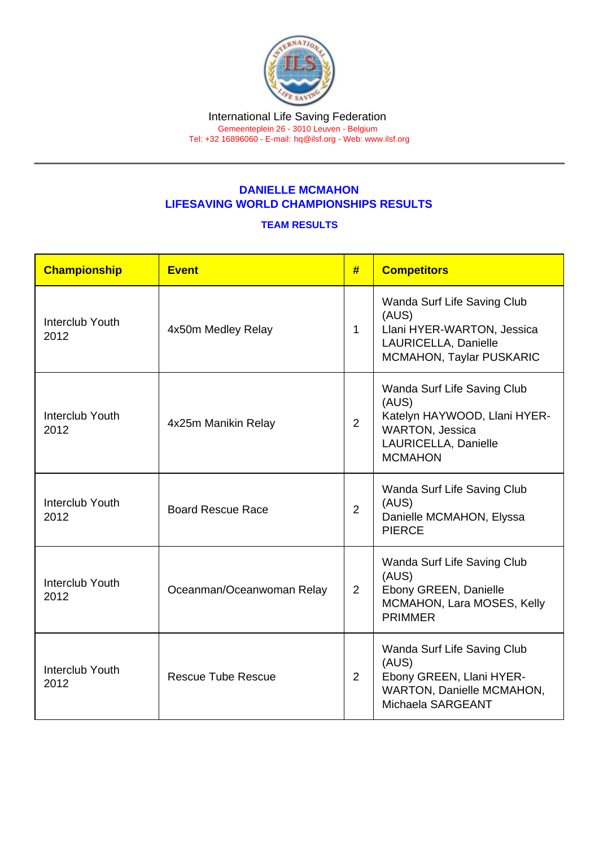## DANIELLE MCMAHON LIFESAVING WORLD CHAMPIONSHIPS RESULTS

## TEAM RESULTS

| Championship            | Event                     | #              | <b>Competitors</b>                                                                                                                       |
|-------------------------|---------------------------|----------------|------------------------------------------------------------------------------------------------------------------------------------------|
| Interclub Youth<br>2012 | 4x50m Medley Relay        | $\mathbf{1}$   | Wanda Surf Life Saving Club<br>(AUS)<br>Llani HYER-WARTON, Jessica<br>LAURICELLA, Danielle<br><b>MCMAHON, Taylar PUSKARIC</b>            |
| Interclub Youth<br>2012 | 4x25m Manikin Relay       | $\overline{2}$ | Wanda Surf Life Saving Club<br>(AUS)<br>Katelyn HAYWOOD, Llani HYER-<br><b>WARTON, Jessica</b><br>LAURICELLA, Danielle<br><b>MCMAHON</b> |
| Interclub Youth<br>2012 | <b>Board Rescue Race</b>  | $\overline{2}$ | Wanda Surf Life Saving Club<br>(AUS)<br>Danielle MCMAHON, Elyssa<br><b>PIERCE</b>                                                        |
| Interclub Youth<br>2012 | Oceanman/Oceanwoman Relay | $\overline{2}$ | Wanda Surf Life Saving Club<br>(AUS)<br>Ebony GREEN, Danielle<br>MCMAHON, Lara MOSES, Kelly<br><b>PRIMMER</b>                            |
| Interclub Youth<br>2012 | <b>Rescue Tube Rescue</b> | $\overline{2}$ | Wanda Surf Life Saving Club<br>(AUS)<br>Ebony GREEN, Llani HYER-<br>WARTON, Danielle MCMAHON,<br>Michaela SARGEANT                       |